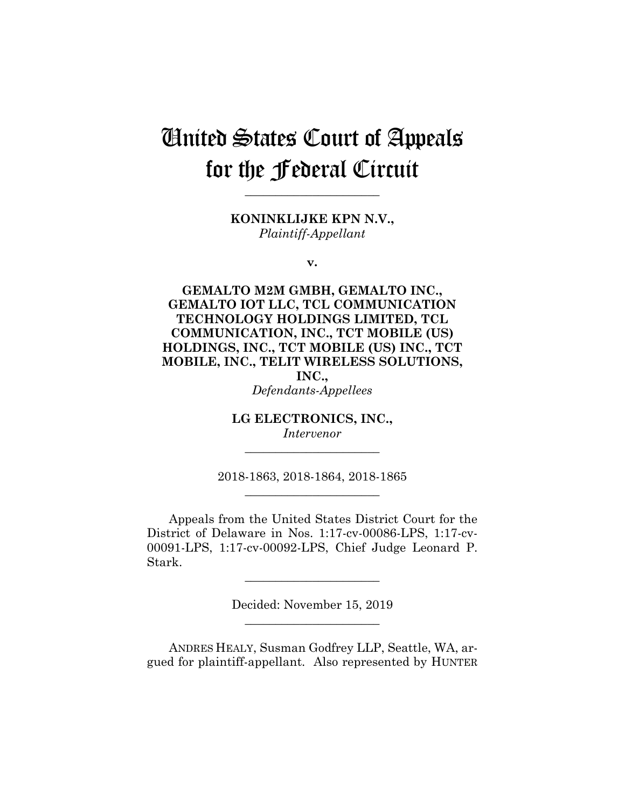# United States Court of Appeals for the Federal Circuit

**KONINKLIJKE KPN N.V.,** *Plaintiff-Appellant*

**\_\_\_\_\_\_\_\_\_\_\_\_\_\_\_\_\_\_\_\_\_\_**

**v.**

**GEMALTO M2M GMBH, GEMALTO INC., GEMALTO IOT LLC, TCL COMMUNICATION TECHNOLOGY HOLDINGS LIMITED, TCL COMMUNICATION, INC., TCT MOBILE (US) HOLDINGS, INC., TCT MOBILE (US) INC., TCT MOBILE, INC., TELIT WIRELESS SOLUTIONS, INC.,**

*Defendants-Appellees*

**LG ELECTRONICS, INC.,** *Intervenor*

**\_\_\_\_\_\_\_\_\_\_\_\_\_\_\_\_\_\_\_\_\_\_**

2018-1863, 2018-1864, 2018-1865 **\_\_\_\_\_\_\_\_\_\_\_\_\_\_\_\_\_\_\_\_\_\_**

Appeals from the United States District Court for the District of Delaware in Nos. 1:17-cv-00086-LPS, 1:17-cv-00091-LPS, 1:17-cv-00092-LPS, Chief Judge Leonard P. Stark.

> Decided: November 15, 2019 **\_\_\_\_\_\_\_\_\_\_\_\_\_\_\_\_\_\_\_\_\_\_**

**\_\_\_\_\_\_\_\_\_\_\_\_\_\_\_\_\_\_\_\_\_\_**

ANDRES HEALY, Susman Godfrey LLP, Seattle, WA, argued for plaintiff-appellant. Also represented by HUNTER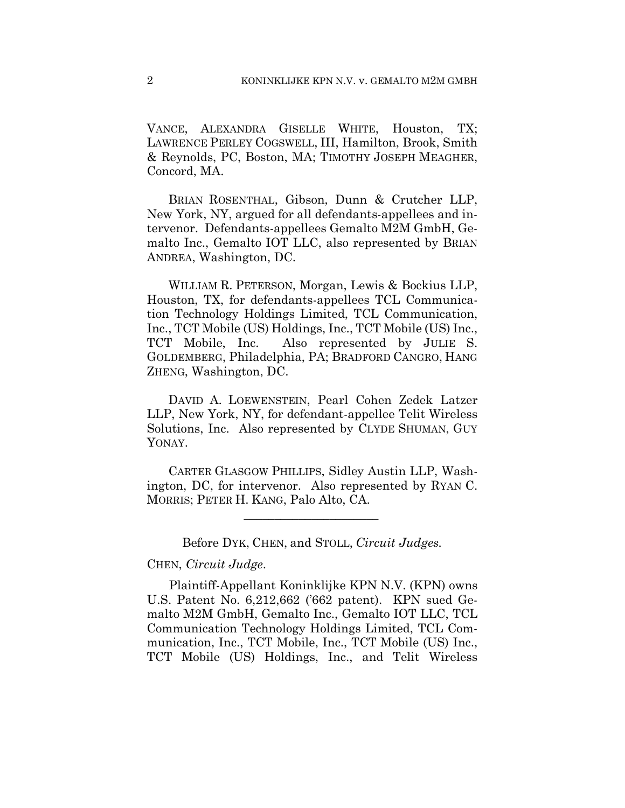VANCE, ALEXANDRA GISELLE WHITE, Houston, TX; LAWRENCE PERLEY COGSWELL, III, Hamilton, Brook, Smith & Reynolds, PC, Boston, MA; TIMOTHY JOSEPH MEAGHER, Concord, MA.

 BRIAN ROSENTHAL, Gibson, Dunn & Crutcher LLP, New York, NY, argued for all defendants-appellees and intervenor. Defendants-appellees Gemalto M2M GmbH, Gemalto Inc., Gemalto IOT LLC, also represented by BRIAN ANDREA, Washington, DC.

 WILLIAM R. PETERSON, Morgan, Lewis & Bockius LLP, Houston, TX, for defendants-appellees TCL Communication Technology Holdings Limited, TCL Communication, Inc., TCT Mobile (US) Holdings, Inc., TCT Mobile (US) Inc., TCT Mobile, Inc. Also represented by JULIE S. GOLDEMBERG, Philadelphia, PA; BRADFORD CANGRO, HANG ZHENG, Washington, DC.

 DAVID A. LOEWENSTEIN, Pearl Cohen Zedek Latzer LLP, New York, NY, for defendant-appellee Telit Wireless Solutions, Inc. Also represented by CLYDE SHUMAN, GUY YONAY.

 CARTER GLASGOW PHILLIPS, Sidley Austin LLP, Washington, DC, for intervenor. Also represented by RYAN C. MORRIS; PETER H. KANG, Palo Alto, CA.

 $\mathcal{L}_\text{max}$  and  $\mathcal{L}_\text{max}$  and  $\mathcal{L}_\text{max}$  and  $\mathcal{L}_\text{max}$ 

## Before DYK, CHEN, and STOLL, *Circuit Judges.*

#### CHEN, *Circuit Judge*.

Plaintiff-Appellant Koninklijke KPN N.V. (KPN) owns U.S. Patent No. 6,212,662 ('662 patent). KPN sued Gemalto M2M GmbH, Gemalto Inc., Gemalto IOT LLC, TCL Communication Technology Holdings Limited, TCL Communication, Inc., TCT Mobile, Inc., TCT Mobile (US) Inc., TCT Mobile (US) Holdings, Inc., and Telit Wireless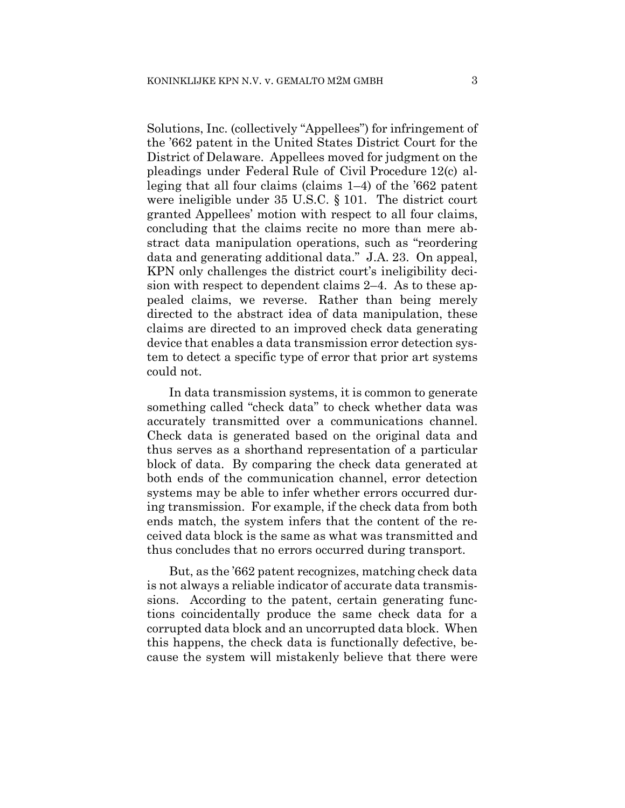Solutions, Inc. (collectively "Appellees") for infringement of the '662 patent in the United States District Court for the District of Delaware. Appellees moved for judgment on the pleadings under Federal Rule of Civil Procedure 12(c) alleging that all four claims (claims 1–4) of the '662 patent were ineligible under 35 U.S.C. § 101. The district court granted Appellees' motion with respect to all four claims, concluding that the claims recite no more than mere abstract data manipulation operations, such as "reordering data and generating additional data." J.A. 23. On appeal, KPN only challenges the district court's ineligibility decision with respect to dependent claims 2–4. As to these appealed claims, we reverse. Rather than being merely directed to the abstract idea of data manipulation, these claims are directed to an improved check data generating device that enables a data transmission error detection system to detect a specific type of error that prior art systems could not.

In data transmission systems, it is common to generate something called "check data" to check whether data was accurately transmitted over a communications channel. Check data is generated based on the original data and thus serves as a shorthand representation of a particular block of data. By comparing the check data generated at both ends of the communication channel, error detection systems may be able to infer whether errors occurred during transmission. For example, if the check data from both ends match, the system infers that the content of the received data block is the same as what was transmitted and thus concludes that no errors occurred during transport.

But, as the '662 patent recognizes, matching check data is not always a reliable indicator of accurate data transmissions. According to the patent, certain generating functions coincidentally produce the same check data for a corrupted data block and an uncorrupted data block. When this happens, the check data is functionally defective, because the system will mistakenly believe that there were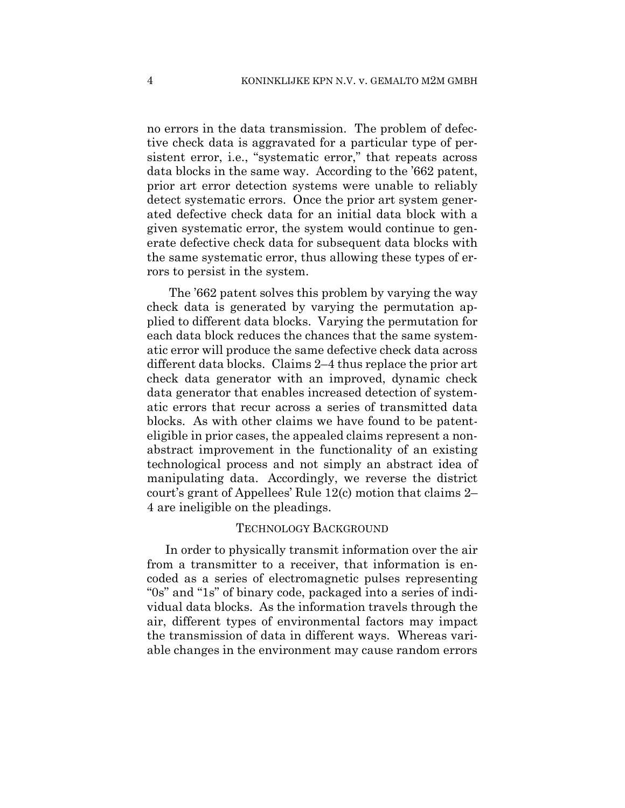no errors in the data transmission. The problem of defective check data is aggravated for a particular type of persistent error, i.e., "systematic error," that repeats across data blocks in the same way. According to the '662 patent, prior art error detection systems were unable to reliably detect systematic errors. Once the prior art system generated defective check data for an initial data block with a given systematic error, the system would continue to generate defective check data for subsequent data blocks with the same systematic error, thus allowing these types of errors to persist in the system.

The '662 patent solves this problem by varying the way check data is generated by varying the permutation applied to different data blocks. Varying the permutation for each data block reduces the chances that the same systematic error will produce the same defective check data across different data blocks. Claims 2–4 thus replace the prior art check data generator with an improved, dynamic check data generator that enables increased detection of systematic errors that recur across a series of transmitted data blocks. As with other claims we have found to be patenteligible in prior cases, the appealed claims represent a nonabstract improvement in the functionality of an existing technological process and not simply an abstract idea of manipulating data. Accordingly, we reverse the district court's grant of Appellees' Rule 12(c) motion that claims 2– 4 are ineligible on the pleadings.

## TECHNOLOGY BACKGROUND

In order to physically transmit information over the air from a transmitter to a receiver, that information is encoded as a series of electromagnetic pulses representing "0s" and "1s" of binary code, packaged into a series of individual data blocks. As the information travels through the air, different types of environmental factors may impact the transmission of data in different ways. Whereas variable changes in the environment may cause random errors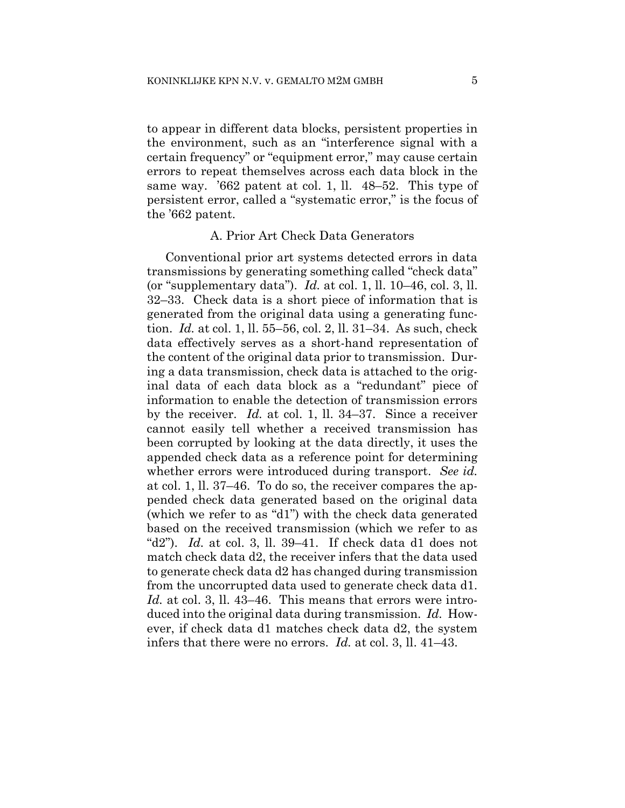to appear in different data blocks, persistent properties in the environment, such as an "interference signal with a certain frequency" or "equipment error," may cause certain errors to repeat themselves across each data block in the same way. '662 patent at col. 1, ll. 48–52. This type of persistent error, called a "systematic error," is the focus of the '662 patent.

## A. Prior Art Check Data Generators

Conventional prior art systems detected errors in data transmissions by generating something called "check data" (or "supplementary data"). *Id.* at col. 1, ll. 10–46, col. 3, ll. 32–33. Check data is a short piece of information that is generated from the original data using a generating function. *Id.* at col. 1, ll. 55–56, col. 2, ll. 31–34. As such, check data effectively serves as a short-hand representation of the content of the original data prior to transmission. During a data transmission, check data is attached to the original data of each data block as a "redundant" piece of information to enable the detection of transmission errors by the receiver. *Id.* at col. 1, ll. 34–37. Since a receiver cannot easily tell whether a received transmission has been corrupted by looking at the data directly, it uses the appended check data as a reference point for determining whether errors were introduced during transport. *See id.*  at col. 1, ll. 37–46. To do so, the receiver compares the appended check data generated based on the original data (which we refer to as "d1") with the check data generated based on the received transmission (which we refer to as "d2"). *Id.* at col. 3, ll. 39–41. If check data d1 does not match check data d2, the receiver infers that the data used to generate check data d2 has changed during transmission from the uncorrupted data used to generate check data d1. *Id.* at col. 3, ll. 43–46. This means that errors were introduced into the original data during transmission. *Id.* However, if check data d1 matches check data d2, the system infers that there were no errors. *Id.* at col. 3, ll. 41–43.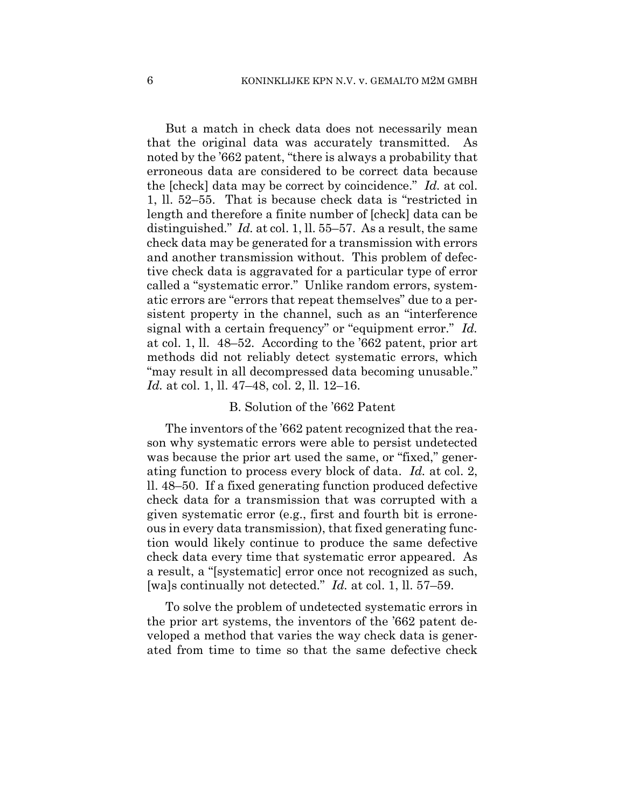But a match in check data does not necessarily mean that the original data was accurately transmitted. As noted by the '662 patent, "there is always a probability that erroneous data are considered to be correct data because the [check] data may be correct by coincidence." *Id.* at col. 1, ll. 52–55. That is because check data is "restricted in length and therefore a finite number of [check] data can be distinguished." *Id.* at col. 1, ll. 55–57. As a result, the same check data may be generated for a transmission with errors and another transmission without. This problem of defective check data is aggravated for a particular type of error called a "systematic error." Unlike random errors, systematic errors are "errors that repeat themselves" due to a persistent property in the channel, such as an "interference signal with a certain frequency" or "equipment error." *Id.*  at col. 1, ll. 48–52. According to the '662 patent, prior art methods did not reliably detect systematic errors, which "may result in all decompressed data becoming unusable." *Id.* at col. 1, ll. 47–48, col. 2, ll. 12–16.

# B. Solution of the '662 Patent

The inventors of the '662 patent recognized that the reason why systematic errors were able to persist undetected was because the prior art used the same, or "fixed," generating function to process every block of data. *Id.* at col. 2, ll. 48–50. If a fixed generating function produced defective check data for a transmission that was corrupted with a given systematic error (e.g., first and fourth bit is erroneous in every data transmission), that fixed generating function would likely continue to produce the same defective check data every time that systematic error appeared. As a result, a "[systematic] error once not recognized as such, [wa]s continually not detected." *Id.* at col. 1, ll. 57–59.

To solve the problem of undetected systematic errors in the prior art systems, the inventors of the '662 patent developed a method that varies the way check data is generated from time to time so that the same defective check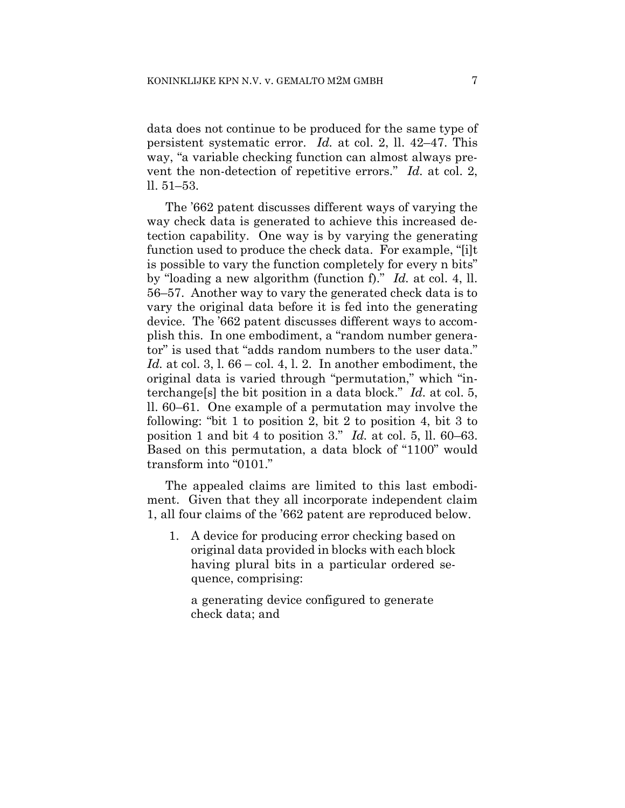data does not continue to be produced for the same type of persistent systematic error. *Id.* at col. 2, ll. 42–47. This way, "a variable checking function can almost always prevent the non-detection of repetitive errors." *Id.* at col. 2, ll. 51–53.

The '662 patent discusses different ways of varying the way check data is generated to achieve this increased detection capability. One way is by varying the generating function used to produce the check data. For example, "[i]t is possible to vary the function completely for every n bits" by "loading a new algorithm (function f)." *Id.* at col. 4, ll. 56–57. Another way to vary the generated check data is to vary the original data before it is fed into the generating device. The '662 patent discusses different ways to accomplish this. In one embodiment, a "random number generator" is used that "adds random numbers to the user data." *Id.* at col. 3, l. 66 – col. 4, l. 2. In another embodiment, the original data is varied through "permutation," which "interchange[s] the bit position in a data block." *Id.* at col. 5, ll. 60–61. One example of a permutation may involve the following: "bit 1 to position 2, bit 2 to position 4, bit 3 to position 1 and bit 4 to position 3." *Id.* at col. 5, ll. 60–63. Based on this permutation, a data block of "1100" would transform into "0101."

The appealed claims are limited to this last embodiment. Given that they all incorporate independent claim 1, all four claims of the '662 patent are reproduced below.

1. A device for producing error checking based on original data provided in blocks with each block having plural bits in a particular ordered sequence, comprising:

a generating device configured to generate check data; and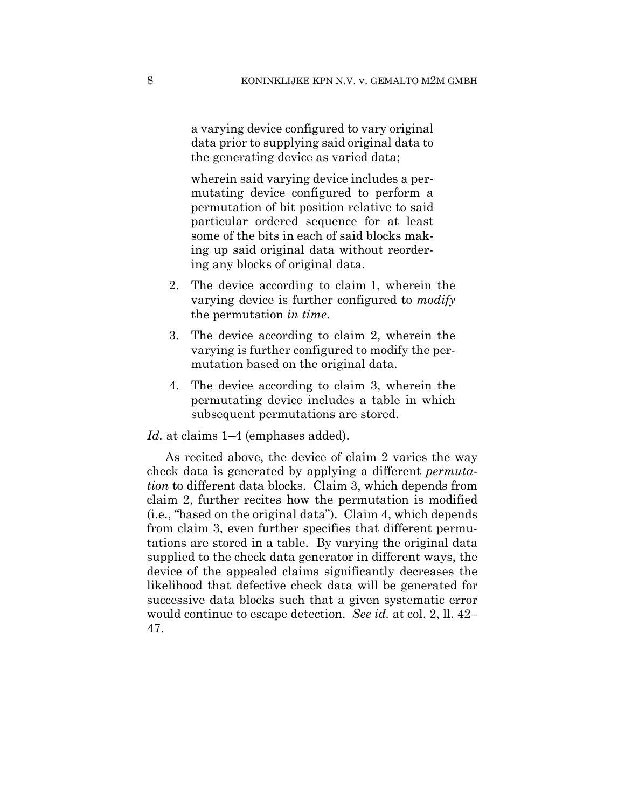a varying device configured to vary original data prior to supplying said original data to the generating device as varied data;

wherein said varying device includes a permutating device configured to perform a permutation of bit position relative to said particular ordered sequence for at least some of the bits in each of said blocks making up said original data without reordering any blocks of original data.

- 2. The device according to claim 1, wherein the varying device is further configured to *modify* the permutation *in time*.
- 3. The device according to claim 2, wherein the varying is further configured to modify the permutation based on the original data.
- 4. The device according to claim 3, wherein the permutating device includes a table in which subsequent permutations are stored.

## *Id.* at claims 1–4 (emphases added).

As recited above, the device of claim 2 varies the way check data is generated by applying a different *permutation* to different data blocks. Claim 3, which depends from claim 2, further recites how the permutation is modified (i.e., "based on the original data"). Claim 4, which depends from claim 3, even further specifies that different permutations are stored in a table. By varying the original data supplied to the check data generator in different ways, the device of the appealed claims significantly decreases the likelihood that defective check data will be generated for successive data blocks such that a given systematic error would continue to escape detection. *See id.* at col. 2, ll. 42– 47.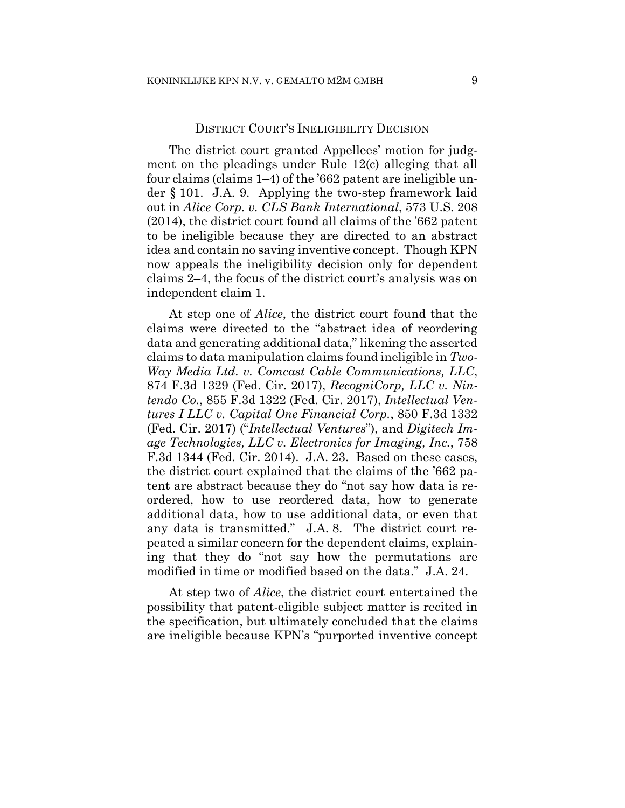## DISTRICT COURT'S INELIGIBILITY DECISION

The district court granted Appellees' motion for judgment on the pleadings under Rule 12(c) alleging that all four claims (claims 1–4) of the '662 patent are ineligible under § 101. J.A. 9. Applying the two-step framework laid out in *Alice Corp. v. CLS Bank International*, 573 U.S. 208 (2014), the district court found all claims of the '662 patent to be ineligible because they are directed to an abstract idea and contain no saving inventive concept. Though KPN now appeals the ineligibility decision only for dependent claims 2–4, the focus of the district court's analysis was on independent claim 1.

At step one of *Alice*, the district court found that the claims were directed to the "abstract idea of reordering data and generating additional data," likening the asserted claims to data manipulation claims found ineligible in *Two-Way Media Ltd. v. Comcast Cable Communications, LLC*, 874 F.3d 1329 (Fed. Cir. 2017), *RecogniCorp, LLC v. Nintendo Co.*, 855 F.3d 1322 (Fed. Cir. 2017), *Intellectual Ventures I LLC v. Capital One Financial Corp.*, 850 F.3d 1332 (Fed. Cir. 2017) ("*Intellectual Ventures*"), and *Digitech Image Technologies, LLC v. Electronics for Imaging, Inc.*, 758 F.3d 1344 (Fed. Cir. 2014).J.A. 23. Based on these cases, the district court explained that the claims of the '662 patent are abstract because they do "not say how data is reordered, how to use reordered data, how to generate additional data, how to use additional data, or even that any data is transmitted." J.A. 8. The district court repeated a similar concern for the dependent claims, explaining that they do "not say how the permutations are modified in time or modified based on the data." J.A. 24.

At step two of *Alice*, the district court entertained the possibility that patent-eligible subject matter is recited in the specification, but ultimately concluded that the claims are ineligible because KPN's "purported inventive concept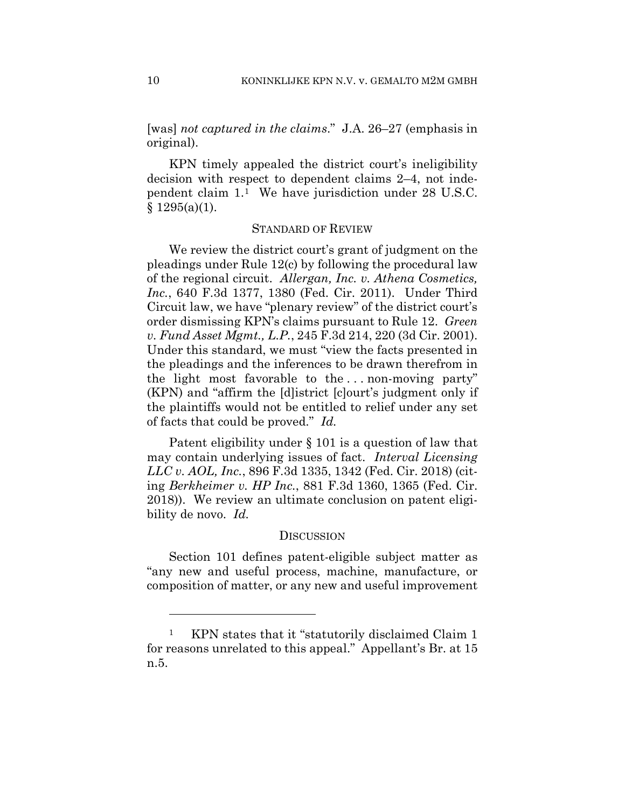[was] *not captured in the claims*." J.A. 26–27 (emphasis in original).

KPN timely appealed the district court's ineligibility decision with respect to dependent claims 2–4, not independent claim 1.1 We have jurisdiction under 28 U.S.C.  $§ 1295(a)(1).$ 

#### STANDARD OF REVIEW

We review the district court's grant of judgment on the pleadings under Rule 12(c) by following the procedural law of the regional circuit. *Allergan, Inc. v. Athena Cosmetics, Inc.*, 640 F.3d 1377, 1380 (Fed. Cir. 2011). Under Third Circuit law, we have "plenary review" of the district court's order dismissing KPN's claims pursuant to Rule 12. *Green v. Fund Asset Mgmt., L.P.*, 245 F.3d 214, 220 (3d Cir. 2001). Under this standard, we must "view the facts presented in the pleadings and the inferences to be drawn therefrom in the light most favorable to the . . . non-moving party" (KPN) and "affirm the [d]istrict [c]ourt's judgment only if the plaintiffs would not be entitled to relief under any set of facts that could be proved." *Id.*

Patent eligibility under § 101 is a question of law that may contain underlying issues of fact. *Interval Licensing LLC v. AOL, Inc.*, 896 F.3d 1335, 1342 (Fed. Cir. 2018) (citing *Berkheimer v. HP Inc.*, 881 F.3d 1360, 1365 (Fed. Cir. 2018)). We review an ultimate conclusion on patent eligibility de novo. *Id.*

#### **DISCUSSION**

Section 101 defines patent-eligible subject matter as "any new and useful process, machine, manufacture, or composition of matter, or any new and useful improvement

1

<sup>1</sup> KPN states that it "statutorily disclaimed Claim 1 for reasons unrelated to this appeal." Appellant's Br. at 15 n.5.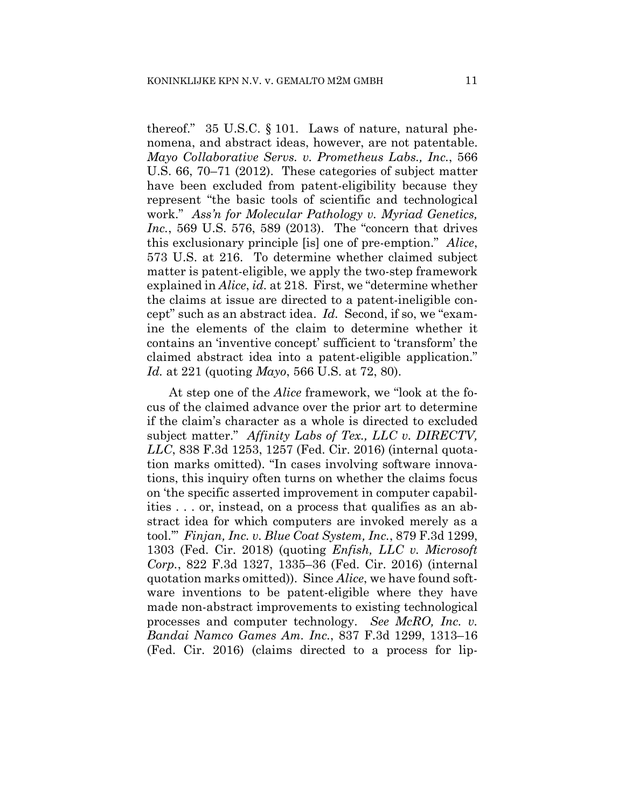thereof." 35 U.S.C. § 101. Laws of nature, natural phenomena, and abstract ideas, however, are not patentable. *Mayo Collaborative Servs. v. Prometheus Labs., Inc.*, 566 U.S. 66, 70–71 (2012). These categories of subject matter have been excluded from patent-eligibility because they represent "the basic tools of scientific and technological work." *Ass'n for Molecular Pathology v. Myriad Genetics, Inc.*, 569 U.S. 576, 589 (2013). The "concern that drives this exclusionary principle [is] one of pre-emption." *Alice*, 573 U.S. at 216. To determine whether claimed subject matter is patent-eligible, we apply the two-step framework explained in *Alice*, *id.* at 218. First, we "determine whether the claims at issue are directed to a patent-ineligible concept" such as an abstract idea. *Id.* Second, if so, we "examine the elements of the claim to determine whether it contains an 'inventive concept' sufficient to 'transform' the claimed abstract idea into a patent-eligible application." *Id.* at 221 (quoting *Mayo*, 566 U.S. at 72, 80).

At step one of the *Alice* framework, we "look at the focus of the claimed advance over the prior art to determine if the claim's character as a whole is directed to excluded subject matter." *Affinity Labs of Tex., LLC v. DIRECTV, LLC*, 838 F.3d 1253, 1257 (Fed. Cir. 2016) (internal quotation marks omitted). "In cases involving software innovations, this inquiry often turns on whether the claims focus on 'the specific asserted improvement in computer capabilities . . . or, instead, on a process that qualifies as an abstract idea for which computers are invoked merely as a tool.'" *Finjan, Inc. v. Blue Coat System, Inc.*, 879 F.3d 1299, 1303 (Fed. Cir. 2018) (quoting *Enfish, LLC v. Microsoft Corp.*, 822 F.3d 1327, 1335–36 (Fed. Cir. 2016) (internal quotation marks omitted)). Since *Alice*, we have found software inventions to be patent-eligible where they have made non-abstract improvements to existing technological processes and computer technology. *See McRO, Inc. v. Bandai Namco Games Am. Inc.*, 837 F.3d 1299, 1313–16 (Fed. Cir. 2016) (claims directed to a process for lip-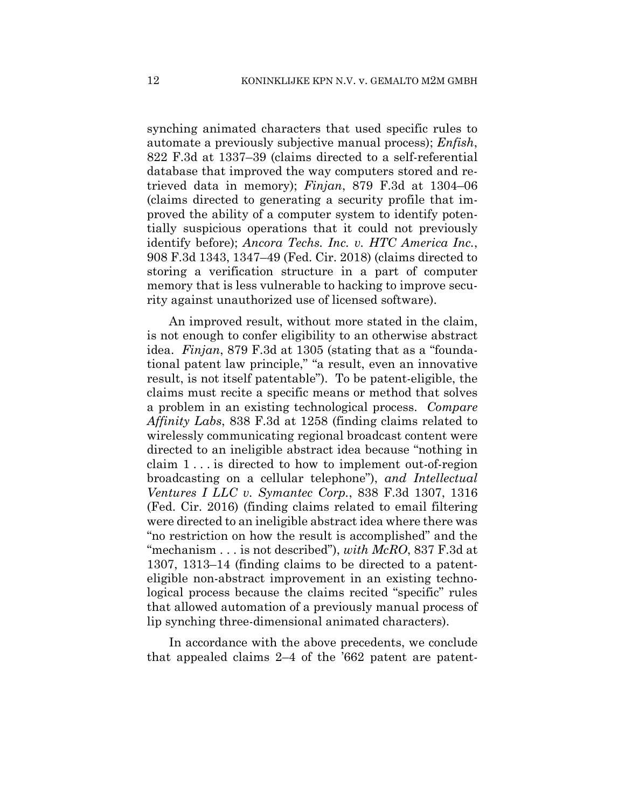synching animated characters that used specific rules to automate a previously subjective manual process); *Enfish*, 822 F.3d at 1337–39 (claims directed to a self-referential database that improved the way computers stored and retrieved data in memory); *Finjan*, 879 F.3d at 1304–06 (claims directed to generating a security profile that improved the ability of a computer system to identify potentially suspicious operations that it could not previously identify before); *Ancora Techs. Inc. v. HTC America Inc.*, 908 F.3d 1343, 1347–49 (Fed. Cir. 2018) (claims directed to storing a verification structure in a part of computer memory that is less vulnerable to hacking to improve security against unauthorized use of licensed software).

An improved result, without more stated in the claim, is not enough to confer eligibility to an otherwise abstract idea. *Finjan*, 879 F.3d at 1305 (stating that as a "foundational patent law principle," "a result, even an innovative result, is not itself patentable"). To be patent-eligible, the claims must recite a specific means or method that solves a problem in an existing technological process. *Compare Affinity Labs*, 838 F.3d at 1258 (finding claims related to wirelessly communicating regional broadcast content were directed to an ineligible abstract idea because "nothing in claim 1 . . . is directed to how to implement out-of-region broadcasting on a cellular telephone"), *and Intellectual Ventures I LLC v. Symantec Corp.*, 838 F.3d 1307, 1316 (Fed. Cir. 2016) (finding claims related to email filtering were directed to an ineligible abstract idea where there was "no restriction on how the result is accomplished" and the "mechanism . . . is not described"), *with McRO*, 837 F.3d at 1307, 1313–14 (finding claims to be directed to a patenteligible non-abstract improvement in an existing technological process because the claims recited "specific" rules that allowed automation of a previously manual process of lip synching three-dimensional animated characters).

In accordance with the above precedents, we conclude that appealed claims 2–4 of the '662 patent are patent-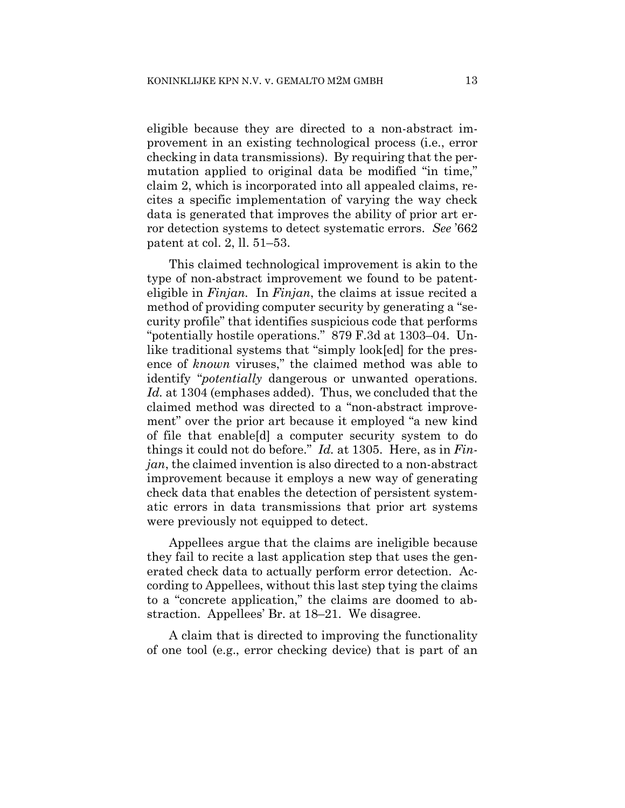eligible because they are directed to a non-abstract improvement in an existing technological process (i.e., error checking in data transmissions). By requiring that the permutation applied to original data be modified "in time," claim 2, which is incorporated into all appealed claims, recites a specific implementation of varying the way check data is generated that improves the ability of prior art error detection systems to detect systematic errors. *See* '662 patent at col. 2, ll. 51–53.

This claimed technological improvement is akin to the type of non-abstract improvement we found to be patenteligible in *Finjan.* In *Finjan*, the claims at issue recited a method of providing computer security by generating a "security profile" that identifies suspicious code that performs "potentially hostile operations." 879 F.3d at 1303–04. Unlike traditional systems that "simply look[ed] for the presence of *known* viruses," the claimed method was able to identify "*potentially* dangerous or unwanted operations. *Id.* at 1304 (emphases added). Thus, we concluded that the claimed method was directed to a "non-abstract improvement" over the prior art because it employed "a new kind of file that enable[d] a computer security system to do things it could not do before." *Id.* at 1305. Here, as in *Finjan*, the claimed invention is also directed to a non-abstract improvement because it employs a new way of generating check data that enables the detection of persistent systematic errors in data transmissions that prior art systems were previously not equipped to detect.

Appellees argue that the claims are ineligible because they fail to recite a last application step that uses the generated check data to actually perform error detection. According to Appellees, without this last step tying the claims to a "concrete application," the claims are doomed to abstraction. Appellees' Br. at 18–21. We disagree.

A claim that is directed to improving the functionality of one tool (e.g., error checking device) that is part of an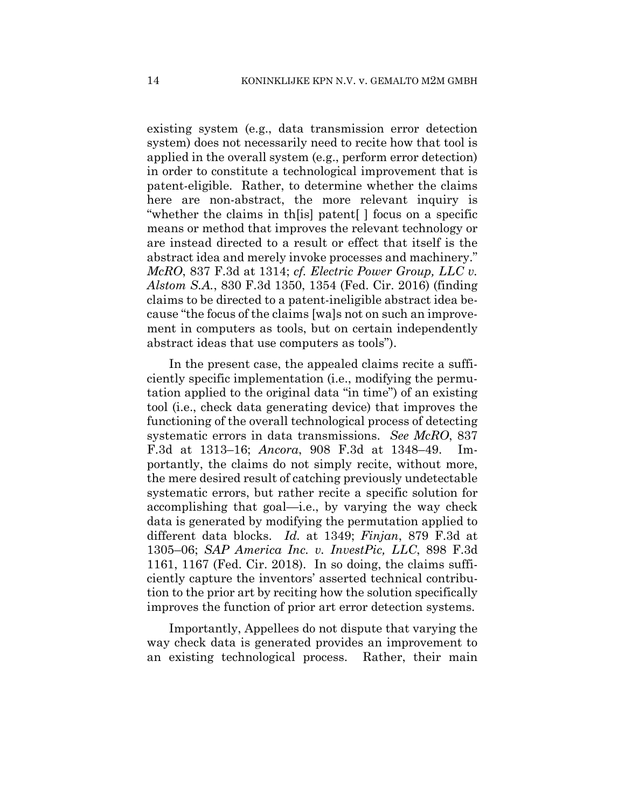existing system (e.g., data transmission error detection system) does not necessarily need to recite how that tool is applied in the overall system (e.g., perform error detection) in order to constitute a technological improvement that is patent-eligible. Rather, to determine whether the claims here are non-abstract, the more relevant inquiry is "whether the claims in th[is] patent[ ] focus on a specific means or method that improves the relevant technology or are instead directed to a result or effect that itself is the abstract idea and merely invoke processes and machinery." *McRO*, 837 F.3d at 1314; *cf. Electric Power Group, LLC v. Alstom S.A.*, 830 F.3d 1350, 1354 (Fed. Cir. 2016) (finding claims to be directed to a patent-ineligible abstract idea because "the focus of the claims [wa]s not on such an improvement in computers as tools, but on certain independently abstract ideas that use computers as tools").

In the present case, the appealed claims recite a sufficiently specific implementation (i.e., modifying the permutation applied to the original data "in time") of an existing tool (i.e., check data generating device) that improves the functioning of the overall technological process of detecting systematic errors in data transmissions. *See McRO*, 837 F.3d at 1313–16; *Ancora*, 908 F.3d at 1348–49. Importantly, the claims do not simply recite, without more, the mere desired result of catching previously undetectable systematic errors, but rather recite a specific solution for accomplishing that goal—i.e., by varying the way check data is generated by modifying the permutation applied to different data blocks. *Id.* at 1349; *Finjan*, 879 F.3d at 1305–06; *SAP America Inc. v. InvestPic, LLC*, 898 F.3d 1161, 1167 (Fed. Cir. 2018). In so doing, the claims sufficiently capture the inventors' asserted technical contribution to the prior art by reciting how the solution specifically improves the function of prior art error detection systems.

Importantly, Appellees do not dispute that varying the way check data is generated provides an improvement to an existing technological process. Rather, their main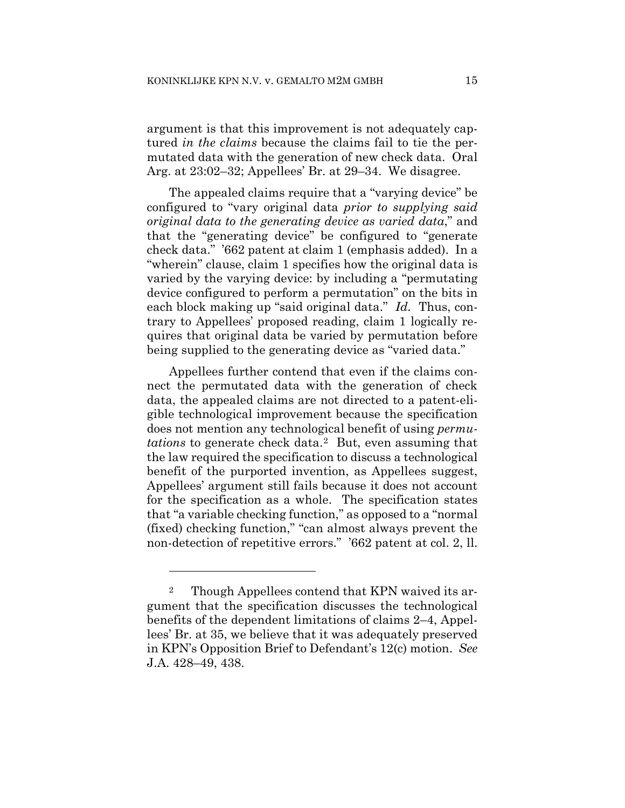argument is that this improvement is not adequately captured *in the claims* because the claims fail to tie the permutated data with the generation of new check data. Oral Arg. at 23:02–32; Appellees' Br. at 29–34. We disagree.

The appealed claims require that a "varying device" be configured to "vary original data *prior to supplying said original data to the generating device as varied data*," and that the "generating device" be configured to "generate check data." '662 patent at claim 1 (emphasis added). In a "wherein" clause, claim 1 specifies how the original data is varied by the varying device: by including a "permutating device configured to perform a permutation" on the bits in each block making up "said original data." *Id.* Thus, contrary to Appellees' proposed reading, claim 1 logically requires that original data be varied by permutation before being supplied to the generating device as "varied data."

Appellees further contend that even if the claims connect the permutated data with the generation of check data, the appealed claims are not directed to a patent-eligible technological improvement because the specification does not mention any technological benefit of using *permutations* to generate check data.2 But, even assuming that the law required the specification to discuss a technological benefit of the purported invention, as Appellees suggest, Appellees' argument still fails because it does not account for the specification as a whole. The specification states that "a variable checking function," as opposed to a "normal (fixed) checking function," "can almost always prevent the non-detection of repetitive errors." '662 patent at col. 2, ll.

1

<sup>2</sup> Though Appellees contend that KPN waived its argument that the specification discusses the technological benefits of the dependent limitations of claims 2–4, Appellees' Br. at 35, we believe that it was adequately preserved in KPN's Opposition Brief to Defendant's 12(c) motion. *See*  J.A. 428–49, 438.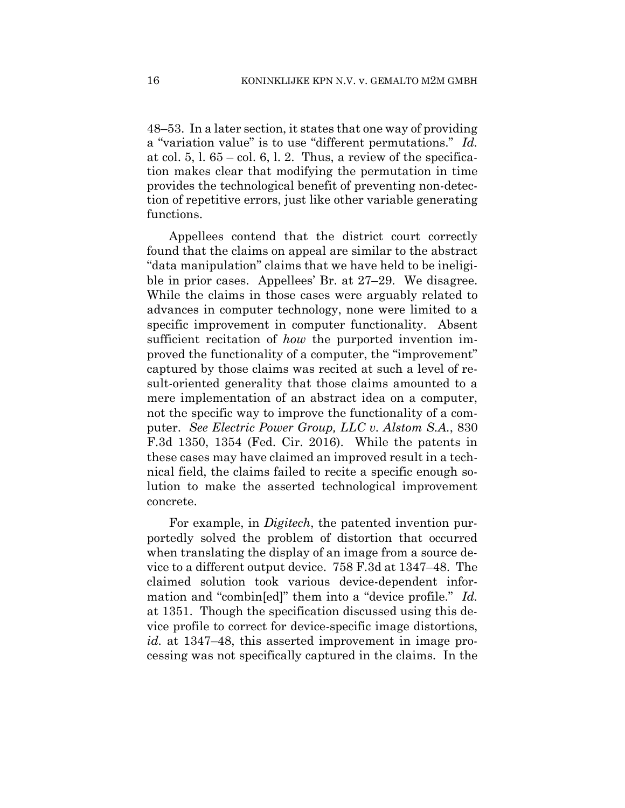48–53. In a later section, it states that one way of providing a "variation value" is to use "different permutations." *Id.*  at col.  $5, 1, 65 -$ col.  $6, 1, 2$ . Thus, a review of the specification makes clear that modifying the permutation in time provides the technological benefit of preventing non-detection of repetitive errors, just like other variable generating functions.

Appellees contend that the district court correctly found that the claims on appeal are similar to the abstract "data manipulation" claims that we have held to be ineligible in prior cases. Appellees' Br. at 27–29. We disagree. While the claims in those cases were arguably related to advances in computer technology, none were limited to a specific improvement in computer functionality. Absent sufficient recitation of *how* the purported invention improved the functionality of a computer, the "improvement" captured by those claims was recited at such a level of result-oriented generality that those claims amounted to a mere implementation of an abstract idea on a computer, not the specific way to improve the functionality of a computer. *See Electric Power Group, LLC v. Alstom S.A.*, 830 F.3d 1350, 1354 (Fed. Cir. 2016). While the patents in these cases may have claimed an improved result in a technical field, the claims failed to recite a specific enough solution to make the asserted technological improvement concrete.

For example, in *Digitech*, the patented invention purportedly solved the problem of distortion that occurred when translating the display of an image from a source device to a different output device. 758 F.3d at 1347–48. The claimed solution took various device-dependent information and "combin[ed]" them into a "device profile." *Id.*  at 1351. Though the specification discussed using this device profile to correct for device-specific image distortions, *id.* at 1347–48, this asserted improvement in image processing was not specifically captured in the claims. In the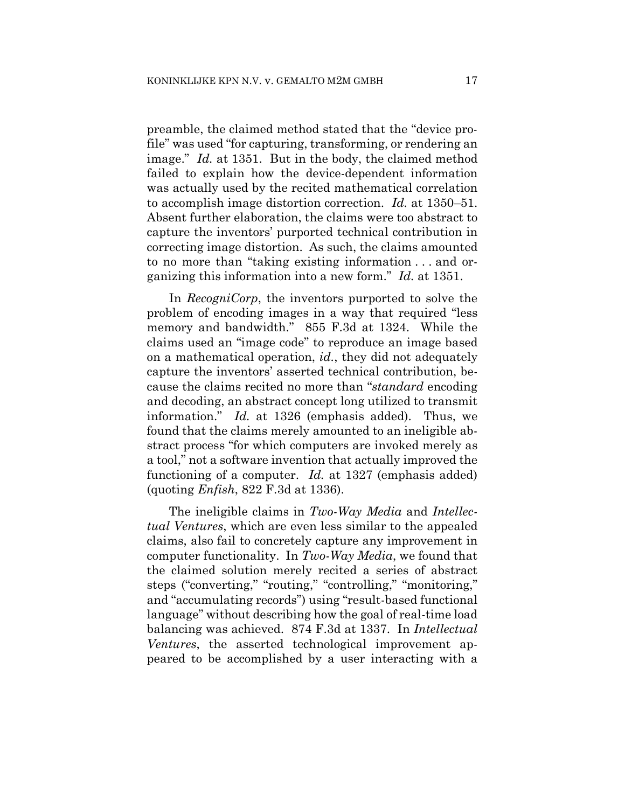preamble, the claimed method stated that the "device profile" was used "for capturing, transforming, or rendering an image." *Id.* at 1351. But in the body, the claimed method failed to explain how the device-dependent information was actually used by the recited mathematical correlation to accomplish image distortion correction. *Id.* at 1350–51. Absent further elaboration, the claims were too abstract to capture the inventors' purported technical contribution in correcting image distortion. As such, the claims amounted to no more than "taking existing information . . . and organizing this information into a new form." *Id.* at 1351.

In *RecogniCorp*, the inventors purported to solve the problem of encoding images in a way that required "less memory and bandwidth." 855 F.3d at 1324. While the claims used an "image code" to reproduce an image based on a mathematical operation, *id.*, they did not adequately capture the inventors' asserted technical contribution, because the claims recited no more than "*standard* encoding and decoding, an abstract concept long utilized to transmit information." *Id.* at 1326 (emphasis added). Thus, we found that the claims merely amounted to an ineligible abstract process "for which computers are invoked merely as a tool," not a software invention that actually improved the functioning of a computer. *Id.* at 1327 (emphasis added) (quoting *Enfish*, 822 F.3d at 1336).

The ineligible claims in *Two-Way Media* and *Intellectual Ventures*, which are even less similar to the appealed claims, also fail to concretely capture any improvement in computer functionality. In *Two-Way Media*, we found that the claimed solution merely recited a series of abstract steps ("converting," "routing," "controlling," "monitoring," and "accumulating records") using "result-based functional language" without describing how the goal of real-time load balancing was achieved. 874 F.3d at 1337. In *Intellectual Ventures*, the asserted technological improvement appeared to be accomplished by a user interacting with a